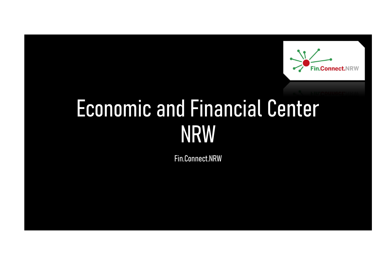

# Economic and Financial Center NRW

Fin.Connect.NRW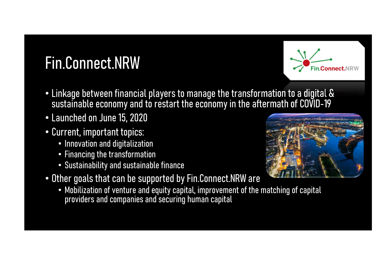## Fin.Connect.NRW



- Linkage between financial players to manage the transformation to a digital & sustainable economy and to restart the economy in the aftermath of COVID-19
- Launched on June 15, 2020
- Current, important topics:
	- Innovation and digitalization
	- Financing the transformation
	- Sustainability and sustainable finance
- Other goals that can be supported by Fin.Connect.NRW are
	- Mobilization of venture and equity capital, improvement of the matching of capital providers and companies and securing human capital

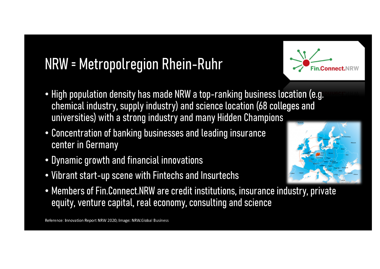#### NRW = Metropolregion Rhein-Ruhr

- High population density has made NRW a top-ranking business location (e.g. chemical industry, supply industry) and science location (68 colleges and universities) with a strong industry and many Hidden Champions
- Concentration of banking businesses and leading insurance center in Germany
- Dynamic growth and financial innovations
- Vibrant start-up scene with Fintechs and Insurtechs
- Members of Fin.Connect.NRW are credit institutions, insurance industry, private equity, venture capital, real economy, consulting and science

----  - - -



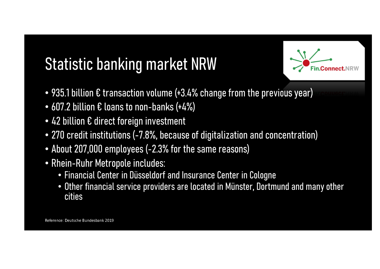## Statistic banking market NRW

- $\bullet$  935.1 billion  $\epsilon$  transaction volume (+3.4% change from the previous year)
- 607.2 billion € loans to non-banks (+4%)
- 42 billion € direct foreign investment
- 270 credit institutions (-7.8%, because of digitalization and concentration)
- About 207,000 employees (-2.3% for the same reasons)
- Rhein-Ruhr Metropole includes:
	- Financial Center in Düsseldorf and Insurance Center in Cologne
	- Other financial service providers are located in Münster, Dortmund and many other cities

----- - -!"#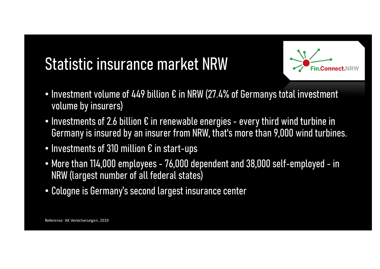### Statistic insurance market NRW



- Investment volume of 449 billion  $\bm{\epsilon}$  in NRW (27.4% of Germanys total investment volume by insurers)
- Investments of 2.6 billion  $\boldsymbol{\epsilon}$  in renewable energies every third wind turbine in Germany is insured by an insurer from NRW, that's more than 9,000 wind turbines.
- Investments of 310 million € in start-ups
- More than 114,000 employees 76,000 dependent and 38,000 self-employed in NRW (largest number of all federal states)
- Cologne is Germany's second largest insurance center